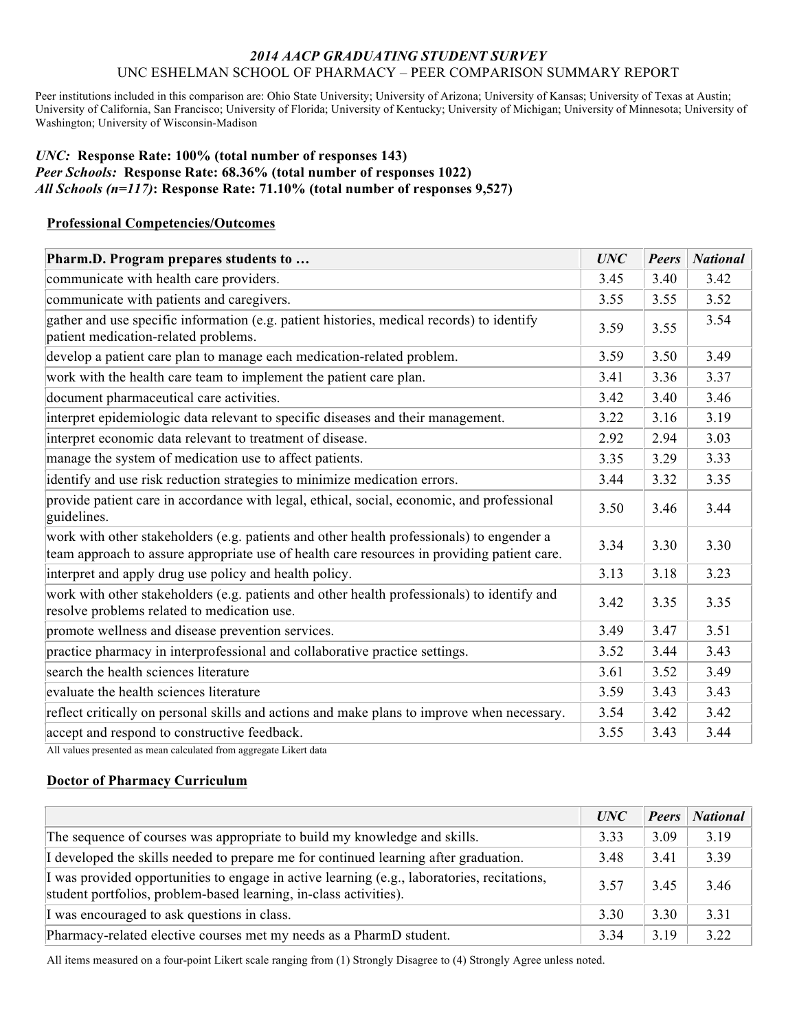### *2014 AACP GRADUATING STUDENT SURVEY* UNC ESHELMAN SCHOOL OF PHARMACY – PEER COMPARISON SUMMARY REPORT

Peer institutions included in this comparison are: Ohio State University; University of Arizona; University of Kansas; University of Texas at Austin; University of California, San Francisco; University of Florida; University of Kentucky; University of Michigan; University of Minnesota; University of Washington; University of Wisconsin-Madison

### *UNC:* **Response Rate: 100% (total number of responses 143)** *Peer Schools:* **Response Rate: 68.36% (total number of responses 1022)** *All Schools (n=117)***: Response Rate: 71.10% (total number of responses 9,527)**

### **Professional Competencies/Outcomes**

| Pharm.D. Program prepares students to                                                                                                                                                    |      | <b>Peers</b> | <b>National</b> |
|------------------------------------------------------------------------------------------------------------------------------------------------------------------------------------------|------|--------------|-----------------|
| communicate with health care providers.                                                                                                                                                  | 3.45 | 3.40         | 3.42            |
| communicate with patients and caregivers.                                                                                                                                                | 3.55 | 3.55         | 3.52            |
| gather and use specific information (e.g. patient histories, medical records) to identify<br>patient medication-related problems.                                                        |      | 3.55         | 3.54            |
| develop a patient care plan to manage each medication-related problem.                                                                                                                   | 3.59 | 3.50         | 3.49            |
| work with the health care team to implement the patient care plan.                                                                                                                       | 3.41 | 3.36         | 3.37            |
| document pharmaceutical care activities.                                                                                                                                                 | 3.42 | 3.40         | 3.46            |
| interpret epidemiologic data relevant to specific diseases and their management.                                                                                                         | 3.22 | 3.16         | 3.19            |
| interpret economic data relevant to treatment of disease.                                                                                                                                | 2.92 | 2.94         | 3.03            |
| manage the system of medication use to affect patients.                                                                                                                                  | 3.35 | 3.29         | 3.33            |
| identify and use risk reduction strategies to minimize medication errors.                                                                                                                | 3.44 | 3.32         | 3.35            |
| provide patient care in accordance with legal, ethical, social, economic, and professional<br>guidelines.                                                                                |      | 3.46         | 3.44            |
| work with other stakeholders (e.g. patients and other health professionals) to engender a<br>team approach to assure appropriate use of health care resources in providing patient care. |      | 3.30         | 3.30            |
| interpret and apply drug use policy and health policy.                                                                                                                                   | 3.13 | 3.18         | 3.23            |
| work with other stakeholders (e.g. patients and other health professionals) to identify and<br>resolve problems related to medication use.                                               | 3.42 | 3.35         | 3.35            |
| promote wellness and disease prevention services.                                                                                                                                        | 3.49 | 3.47         | 3.51            |
| practice pharmacy in interprofessional and collaborative practice settings.                                                                                                              | 3.52 | 3.44         | 3.43            |
| search the health sciences literature                                                                                                                                                    |      | 3.52         | 3.49            |
| evaluate the health sciences literature                                                                                                                                                  |      | 3.43         | 3.43            |
| reflect critically on personal skills and actions and make plans to improve when necessary.                                                                                              | 3.54 | 3.42         | 3.42            |
| accept and respond to constructive feedback.                                                                                                                                             | 3.55 | 3.43         | 3.44            |

All values presented as mean calculated from aggregate Likert data

## **Doctor of Pharmacy Curriculum**

|                                                                                                                                                                  | UNC  | <b>Peers</b> | <b>National</b> |
|------------------------------------------------------------------------------------------------------------------------------------------------------------------|------|--------------|-----------------|
| The sequence of courses was appropriate to build my knowledge and skills.                                                                                        | 3.33 | 3.09         | 3.19            |
| I developed the skills needed to prepare me for continued learning after graduation.                                                                             | 3.48 | 3.41         | 3.39            |
| I was provided opportunities to engage in active learning (e.g., laboratories, recitations,<br>student portfolios, problem-based learning, in-class activities). | 3.57 | 3.45         | 3.46            |
| I was encouraged to ask questions in class.                                                                                                                      | 3.30 | 3.30         | 3 3 1           |
| Pharmacy-related elective courses met my needs as a PharmD student.                                                                                              | 3.34 | 3.19         | 3.22            |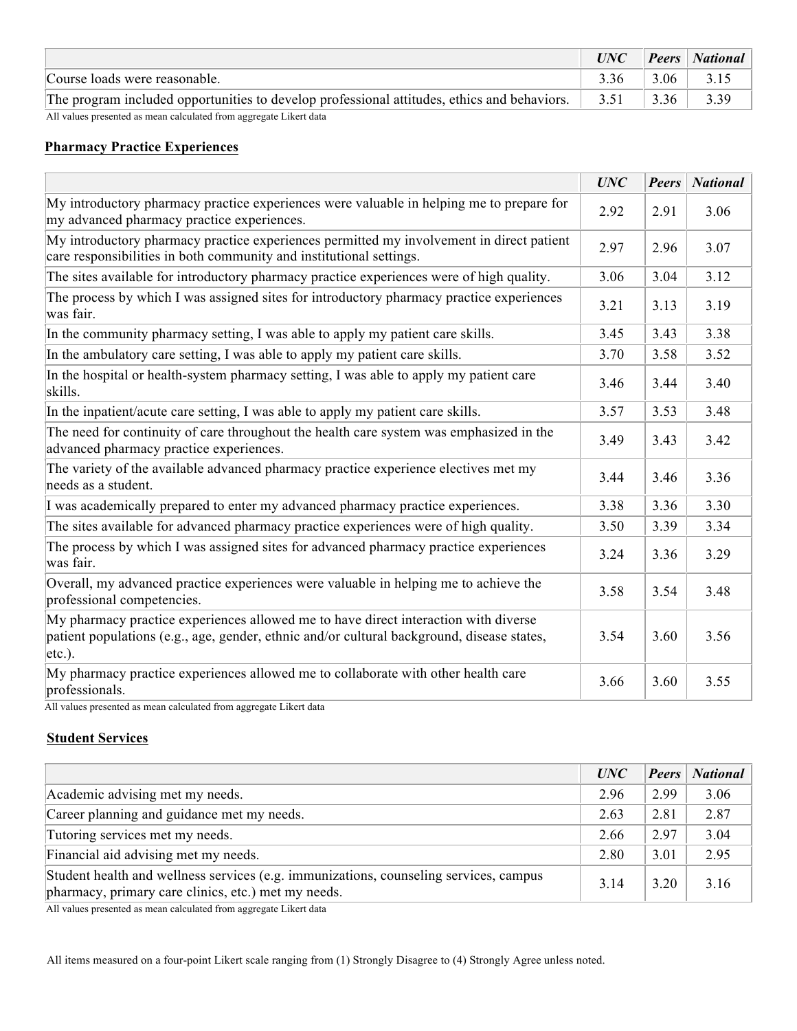|                                                                                             | UNC  |      | <b>Peers</b> National |
|---------------------------------------------------------------------------------------------|------|------|-----------------------|
| Course loads were reasonable.                                                               | 3.36 | 3.06 | 3.15                  |
| The program included opportunities to develop professional attitudes, ethics and behaviors. | 3.51 | 3.36 | 3.39                  |
| All values presented as mean calculated from aggregate Likert data                          |      |      |                       |

## **Pharmacy Practice Experiences**

|                                                                                                                                                                                                | <b>UNC</b> | <b>Peers</b> | <b>National</b> |
|------------------------------------------------------------------------------------------------------------------------------------------------------------------------------------------------|------------|--------------|-----------------|
| My introductory pharmacy practice experiences were valuable in helping me to prepare for<br>my advanced pharmacy practice experiences.                                                         | 2.92       | 2.91         | 3.06            |
| My introductory pharmacy practice experiences permitted my involvement in direct patient<br>care responsibilities in both community and institutional settings.                                | 2.97       | 2.96         | 3.07            |
| The sites available for introductory pharmacy practice experiences were of high quality.                                                                                                       | 3.06       | 3.04         | 3.12            |
| The process by which I was assigned sites for introductory pharmacy practice experiences<br>was fair.                                                                                          | 3.21       | 3.13         | 3.19            |
| In the community pharmacy setting, I was able to apply my patient care skills.                                                                                                                 | 3.45       | 3.43         | 3.38            |
| In the ambulatory care setting, I was able to apply my patient care skills.                                                                                                                    | 3.70       | 3.58         | 3.52            |
| In the hospital or health-system pharmacy setting, I was able to apply my patient care<br>skills.                                                                                              |            | 3.44         | 3.40            |
| In the inpatient/acute care setting, I was able to apply my patient care skills.                                                                                                               |            | 3.53         | 3.48            |
| The need for continuity of care throughout the health care system was emphasized in the<br>advanced pharmacy practice experiences.                                                             |            | 3.43         | 3.42            |
| The variety of the available advanced pharmacy practice experience electives met my<br>needs as a student.                                                                                     | 3.44       | 3.46         | 3.36            |
| I was academically prepared to enter my advanced pharmacy practice experiences.                                                                                                                | 3.38       | 3.36         | 3.30            |
| The sites available for advanced pharmacy practice experiences were of high quality.                                                                                                           | 3.50       | 3.39         | 3.34            |
| The process by which I was assigned sites for advanced pharmacy practice experiences<br>was fair.                                                                                              |            | 3.36         | 3.29            |
| Overall, my advanced practice experiences were valuable in helping me to achieve the<br>professional competencies.                                                                             |            | 3.54         | 3.48            |
| My pharmacy practice experiences allowed me to have direct interaction with diverse<br>patient populations (e.g., age, gender, ethnic and/or cultural background, disease states,<br>$etc.$ ). |            | 3.60         | 3.56            |
| My pharmacy practice experiences allowed me to collaborate with other health care<br>professionals.                                                                                            | 3.66       | 3.60         | 3.55            |

All values presented as mean calculated from aggregate Likert data

## **Student Services**

|                                                                                                                                              | UNC  | Peers | <b>National</b> |
|----------------------------------------------------------------------------------------------------------------------------------------------|------|-------|-----------------|
| Academic advising met my needs.                                                                                                              | 2.96 | 2.99  | 3.06            |
| Career planning and guidance met my needs.                                                                                                   | 2.63 | 2.81  | 2.87            |
| Tutoring services met my needs.                                                                                                              | 2.66 | 2.97  | 3.04            |
| Financial aid advising met my needs.                                                                                                         | 2.80 | 3.01  | 2.95            |
| Student health and wellness services (e.g. immunizations, counseling services, campus<br>pharmacy, primary care clinics, etc.) met my needs. | 3.14 | 3.20  | 3.16            |

All values presented as mean calculated from aggregate Likert data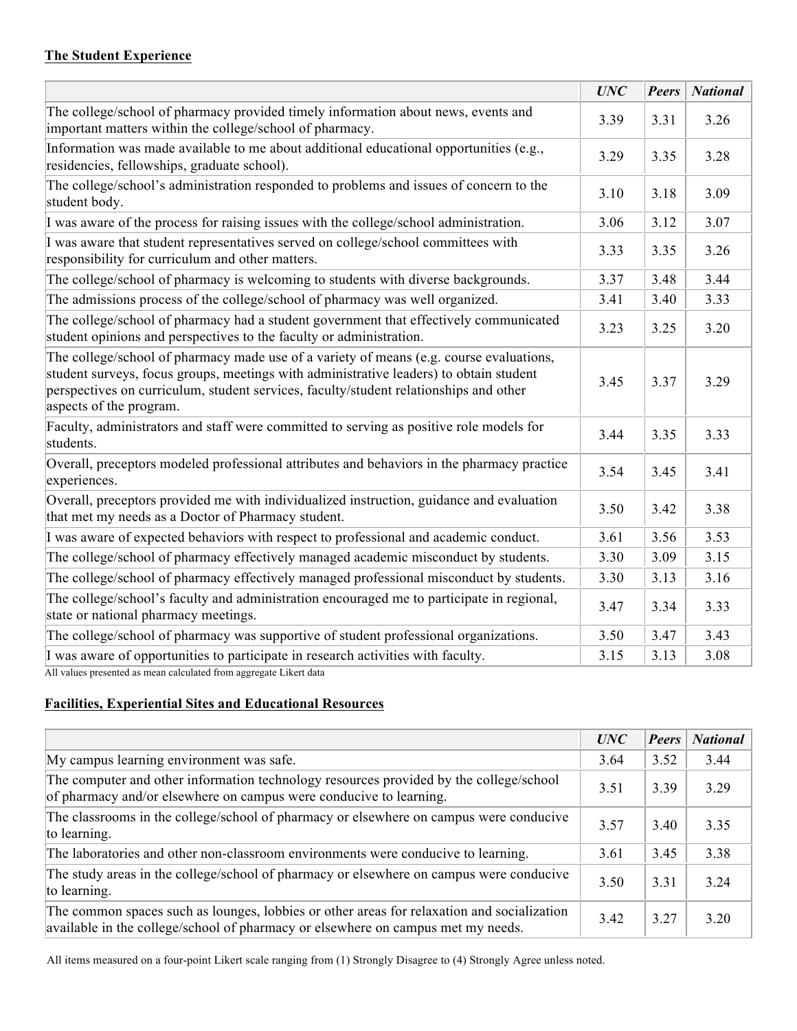## **The Student Experience**

|                                                                                                                                                                                                                                                                                                       | <b>UNC</b> | <b>Peers</b> | <b>National</b> |
|-------------------------------------------------------------------------------------------------------------------------------------------------------------------------------------------------------------------------------------------------------------------------------------------------------|------------|--------------|-----------------|
| The college/school of pharmacy provided timely information about news, events and<br>important matters within the college/school of pharmacy.                                                                                                                                                         | 3.39       | 3.31         | 3.26            |
| Information was made available to me about additional educational opportunities (e.g.,<br>residencies, fellowships, graduate school).                                                                                                                                                                 | 3.29       | 3.35         | 3.28            |
| The college/school's administration responded to problems and issues of concern to the<br>student body.                                                                                                                                                                                               |            | 3.18         | 3.09            |
| I was aware of the process for raising issues with the college/school administration.                                                                                                                                                                                                                 |            | 3.12         | 3.07            |
| I was aware that student representatives served on college/school committees with<br>responsibility for curriculum and other matters.                                                                                                                                                                 | 3.33       | 3.35         | 3.26            |
| The college/school of pharmacy is welcoming to students with diverse backgrounds.                                                                                                                                                                                                                     | 3.37       | 3.48         | 3.44            |
| The admissions process of the college/school of pharmacy was well organized.                                                                                                                                                                                                                          | 3.41       | 3.40         | 3.33            |
| The college/school of pharmacy had a student government that effectively communicated<br>student opinions and perspectives to the faculty or administration.                                                                                                                                          | 3.23       | 3.25         | 3.20            |
| The college/school of pharmacy made use of a variety of means (e.g. course evaluations,<br>student surveys, focus groups, meetings with administrative leaders) to obtain student<br>perspectives on curriculum, student services, faculty/student relationships and other<br>aspects of the program. | 3.45       | 3.37         | 3.29            |
| Faculty, administrators and staff were committed to serving as positive role models for<br>students.                                                                                                                                                                                                  | 3.44       | 3.35         | 3.33            |
| Overall, preceptors modeled professional attributes and behaviors in the pharmacy practice<br>experiences.                                                                                                                                                                                            | 3.54       | 3.45         | 3.41            |
| Overall, preceptors provided me with individualized instruction, guidance and evaluation<br>that met my needs as a Doctor of Pharmacy student.                                                                                                                                                        | 3.50       | 3.42         | 3.38            |
| I was aware of expected behaviors with respect to professional and academic conduct.                                                                                                                                                                                                                  | 3.61       | 3.56         | 3.53            |
| The college/school of pharmacy effectively managed academic misconduct by students.                                                                                                                                                                                                                   | 3.30       | 3.09         | 3.15            |
| The college/school of pharmacy effectively managed professional misconduct by students.                                                                                                                                                                                                               | 3.30       | 3.13         | 3.16            |
| The college/school's faculty and administration encouraged me to participate in regional,<br>state or national pharmacy meetings.                                                                                                                                                                     | 3.47       | 3.34         | 3.33            |
| The college/school of pharmacy was supportive of student professional organizations.                                                                                                                                                                                                                  | 3.50       | 3.47         | 3.43            |
| I was aware of opportunities to participate in research activities with faculty.<br>All values presented as mean calculated from aggregate Likert data                                                                                                                                                | 3.15       | 3.13         | 3.08            |

# **Facilities, Experiential Sites and Educational Resources**

|                                                                                                                                                                                | UNC  | <b>Peers</b> | <b>National</b> |
|--------------------------------------------------------------------------------------------------------------------------------------------------------------------------------|------|--------------|-----------------|
| My campus learning environment was safe.                                                                                                                                       | 3.64 | 3.52         | 3.44            |
| The computer and other information technology resources provided by the college/school<br>of pharmacy and/or elsewhere on campus were conducive to learning.                   | 3.51 | 3.39         | 3.29            |
| The classrooms in the college/school of pharmacy or elsewhere on campus were conducive<br>to learning.                                                                         | 3.57 | 3.40         | 3.35            |
| The laboratories and other non-classroom environments were conducive to learning.                                                                                              | 3.61 | 3.45         | 3.38            |
| The study areas in the college/school of pharmacy or elsewhere on campus were conducive<br>to learning.                                                                        | 3.50 | 3.31         | 3 2 4           |
| The common spaces such as lounges, lobbies or other areas for relaxation and socialization<br>available in the college/school of pharmacy or elsewhere on campus met my needs. | 3.42 | 3 2 7        | 3 20            |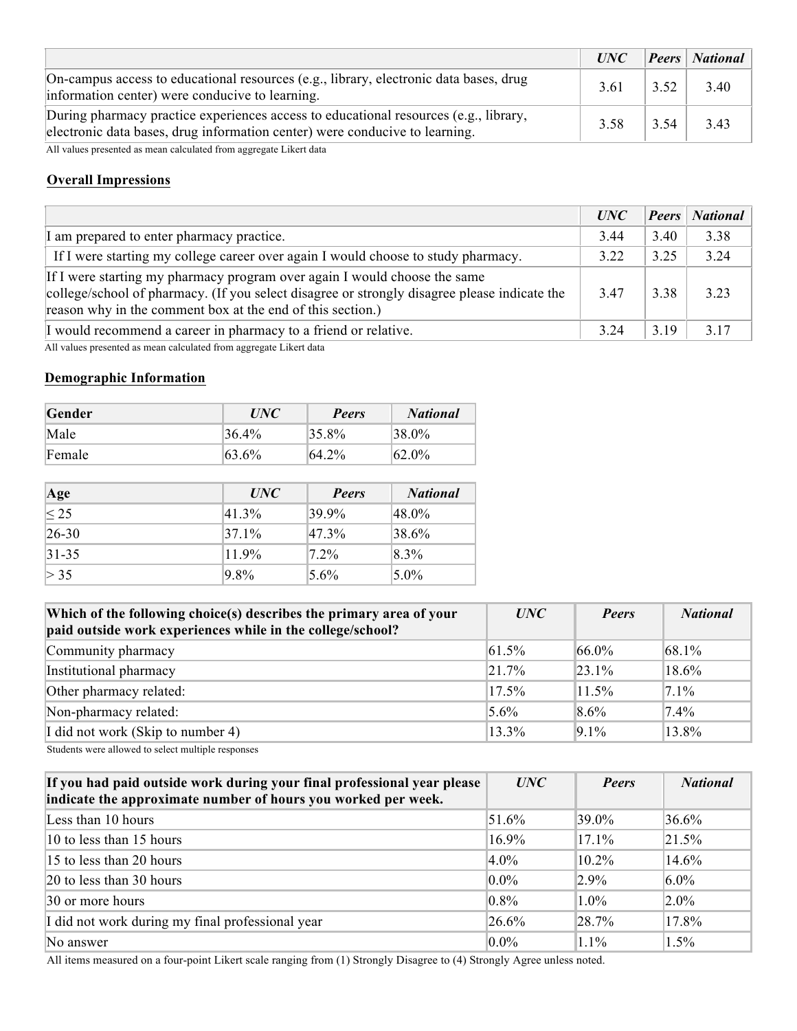|                                                                                                                                                                     |      |      | UNC Peers National |
|---------------------------------------------------------------------------------------------------------------------------------------------------------------------|------|------|--------------------|
| On-campus access to educational resources (e.g., library, electronic data bases, drug<br>information center) were conducive to learning.                            | 3.61 | 3.52 | $\frac{3.40}{ }$   |
| During pharmacy practice experiences access to educational resources (e.g., library,<br>electronic data bases, drug information center) were conducive to learning. | 3.58 | 3.54 | 3.43               |

All values presented as mean calculated from aggregate Likert data

## **Overall Impressions**

|                                                                                                                                                                                                                                         | UNC  | <b>Peers</b> | <b>National</b> |
|-----------------------------------------------------------------------------------------------------------------------------------------------------------------------------------------------------------------------------------------|------|--------------|-----------------|
| I am prepared to enter pharmacy practice.                                                                                                                                                                                               | 3.44 | 3.40         | 3.38            |
| If I were starting my college career over again I would choose to study pharmacy.                                                                                                                                                       | 3.22 | 3.25         | 3.24            |
| If I were starting my pharmacy program over again I would choose the same<br>college/school of pharmacy. (If you select disagree or strongly disagree please indicate the<br>reason why in the comment box at the end of this section.) | 3.47 | 3.38         | 3 2 3           |
| I would recommend a career in pharmacy to a friend or relative.                                                                                                                                                                         | 3.24 | 3.19         | 3.17            |

All values presented as mean calculated from aggregate Likert data

#### **Demographic Information**

| Gender | <i>UNC</i> | <b>Peers</b> | <b>National</b> |
|--------|------------|--------------|-----------------|
| Male   | $136.4\%$  | $ 35.8\% $   | $138.0\%$       |
| Female | 63.6%      | $64.2\%$     | $62.0\%$        |

| Age                  | <i>UNC</i> | Peers      | <b>National</b> |
|----------------------|------------|------------|-----------------|
| $\overline{\leq 25}$ | 41.3%      | 39.9%      | $48.0\%$        |
| $ 26-30 $            | $ 37.1\%$  | $ 47.3\% $ | 38.6%           |
| $ 31-35 $            | 11.9%      | $ 72\%$    | $8.3\%$         |
| > 35                 | 9.8%       | 5.6%       | $5.0\%$         |

| Which of the following choice(s) describes the primary area of your<br>paid outside work experiences while in the college/school? | UNC       | <b>Peers</b> | <b>National</b> |
|-----------------------------------------------------------------------------------------------------------------------------------|-----------|--------------|-----------------|
| Community pharmacy                                                                                                                | $ 61.5\%$ | $66.0\%$     | $ 68.1\%$       |
| Institutional pharmacy                                                                                                            | $ 217\%$  | $\ 23\ $ 1%  | 18.6%           |
| Other pharmacy related:                                                                                                           | $17.5\%$  | 11.5%        | $7.1\%$         |
| Non-pharmacy related:                                                                                                             | $5.6\%$   | $8.6\%$      | $7.4\%$         |
| I did not work (Skip to number 4)                                                                                                 | 13.3%     | $9.1\%$      | 13.8%           |

Students were allowed to select multiple responses

| If you had paid outside work during your final professional year please<br>indicate the approximate number of hours you worked per week. | UNC      | <b>Peers</b> | <b>National</b> |
|------------------------------------------------------------------------------------------------------------------------------------------|----------|--------------|-----------------|
| Less than 10 hours                                                                                                                       | 51.6%    | 39.0%        | 36.6%           |
| 10 to less than 15 hours                                                                                                                 | 16.9%    | $17.1\%$     | $ 21.5\%$       |
| 15 to less than 20 hours                                                                                                                 | $4.0\%$  | $10.2\%$     | 14.6%           |
| $ 20 \text{ to }$ less than 30 hours                                                                                                     | $0.0\%$  | $2.9\%$      | $6.0\%$         |
| 30 or more hours                                                                                                                         | $0.8\%$  | $1.0\%$      | $2.0\%$         |
| I did not work during my final professional year                                                                                         | $26.6\%$ | $ 28.7\%$    | 17.8%           |
| No answer                                                                                                                                | $0.0\%$  | 1.1%         | 1.5%            |